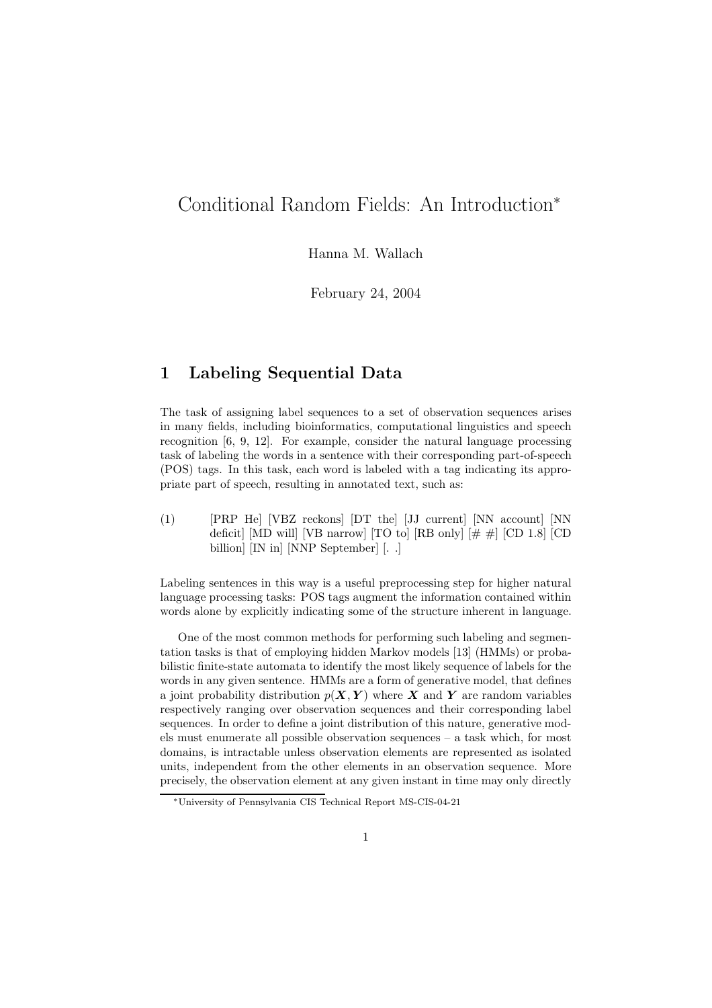# Conditional Random Fields: An Introduction<sup>∗</sup>

Hanna M. Wallach

February 24, 2004

## 1 Labeling Sequential Data

The task of assigning label sequences to a set of observation sequences arises in many fields, including bioinformatics, computational linguistics and speech recognition [6, 9, 12]. For example, consider the natural language processing task of labeling the words in a sentence with their corresponding part-of-speech (POS) tags. In this task, each word is labeled with a tag indicating its appropriate part of speech, resulting in annotated text, such as:

(1) [PRP He] [VBZ reckons] [DT the] [JJ current] [NN account] [NN deficit] [MD will] [VB narrow] [TO to] [RB only]  $[\#\n\#]$  [CD 1.8] [CD billion] [IN in] [NNP September] [. .]

Labeling sentences in this way is a useful preprocessing step for higher natural language processing tasks: POS tags augment the information contained within words alone by explicitly indicating some of the structure inherent in language.

One of the most common methods for performing such labeling and segmentation tasks is that of employing hidden Markov models [13] (HMMs) or probabilistic finite-state automata to identify the most likely sequence of labels for the words in any given sentence. HMMs are a form of generative model, that defines a joint probability distribution  $p(X, Y)$  where X and Y are random variables respectively ranging over observation sequences and their corresponding label sequences. In order to define a joint distribution of this nature, generative models must enumerate all possible observation sequences – a task which, for most domains, is intractable unless observation elements are represented as isolated units, independent from the other elements in an observation sequence. More precisely, the observation element at any given instant in time may only directly

<sup>∗</sup>University of Pennsylvania CIS Technical Report MS-CIS-04-21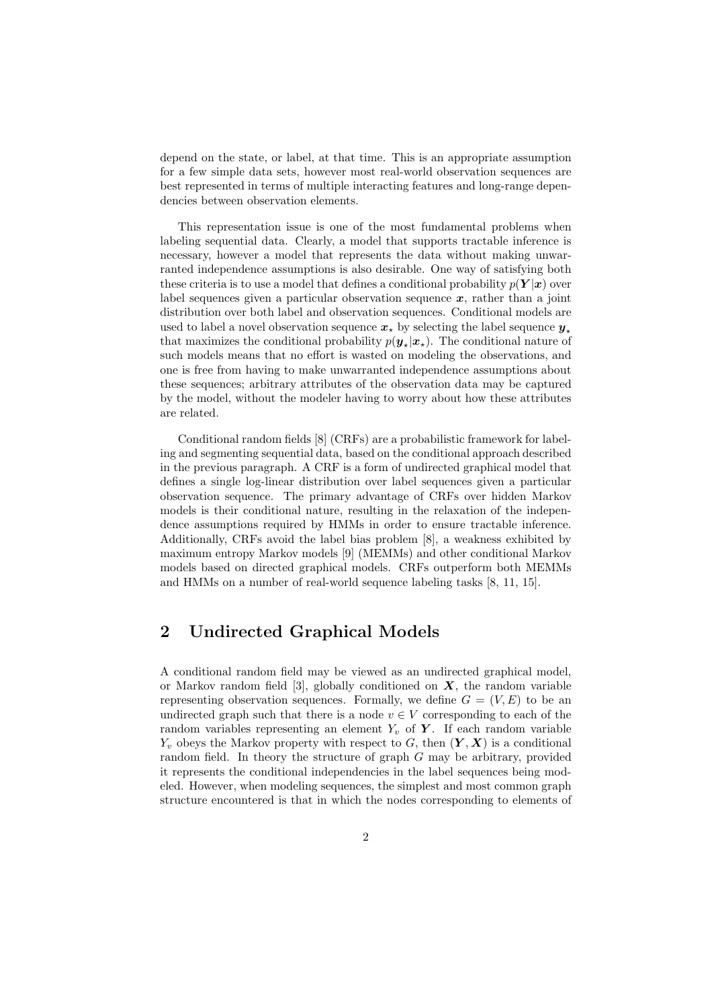depend on the state, or label, at that time. This is an appropriate assumption for a few simple data sets, however most real-world observation sequences are best represented in terms of multiple interacting features and long-range dependencies between observation elements.

This representation issue is one of the most fundamental problems when labeling sequential data. Clearly, a model that supports tractable inference is necessary, however a model that represents the data without making unwarranted independence assumptions is also desirable. One way of satisfying both these criteria is to use a model that defines a conditional probability  $p(Y|x)$  over label sequences given a particular observation sequence  $x$ , rather than a joint distribution over both label and observation sequences. Conditional models are used to label a novel observation sequence  $x_{\star}$  by selecting the label sequence  $y_{\star}$ that maximizes the conditional probability  $p(\mathbf{y}_\star|\mathbf{x}_\star)$ . The conditional nature of such models means that no effort is wasted on modeling the observations, and one is free from having to make unwarranted independence assumptions about these sequences; arbitrary attributes of the observation data may be captured by the model, without the modeler having to worry about how these attributes are related.

Conditional random fields [8] (CRFs) are a probabilistic framework for labeling and segmenting sequential data, based on the conditional approach described in the previous paragraph. A CRF is a form of undirected graphical model that defines a single log-linear distribution over label sequences given a particular observation sequence. The primary advantage of CRFs over hidden Markov models is their conditional nature, resulting in the relaxation of the independence assumptions required by HMMs in order to ensure tractable inference. Additionally, CRFs avoid the label bias problem [8], a weakness exhibited by maximum entropy Markov models [9] (MEMMs) and other conditional Markov models based on directed graphical models. CRFs outperform both MEMMs and HMMs on a number of real-world sequence labeling tasks [8, 11, 15].

### 2 Undirected Graphical Models

A conditional random field may be viewed as an undirected graphical model, or Markov random field  $[3]$ , globally conditioned on  $X$ , the random variable representing observation sequences. Formally, we define  $G = (V, E)$  to be an undirected graph such that there is a node  $v \in V$  corresponding to each of the random variables representing an element  $Y<sub>v</sub>$  of Y. If each random variable  $Y_v$  obeys the Markov property with respect to G, then  $(Y, X)$  is a conditional random field. In theory the structure of graph G may be arbitrary, provided it represents the conditional independencies in the label sequences being modeled. However, when modeling sequences, the simplest and most common graph structure encountered is that in which the nodes corresponding to elements of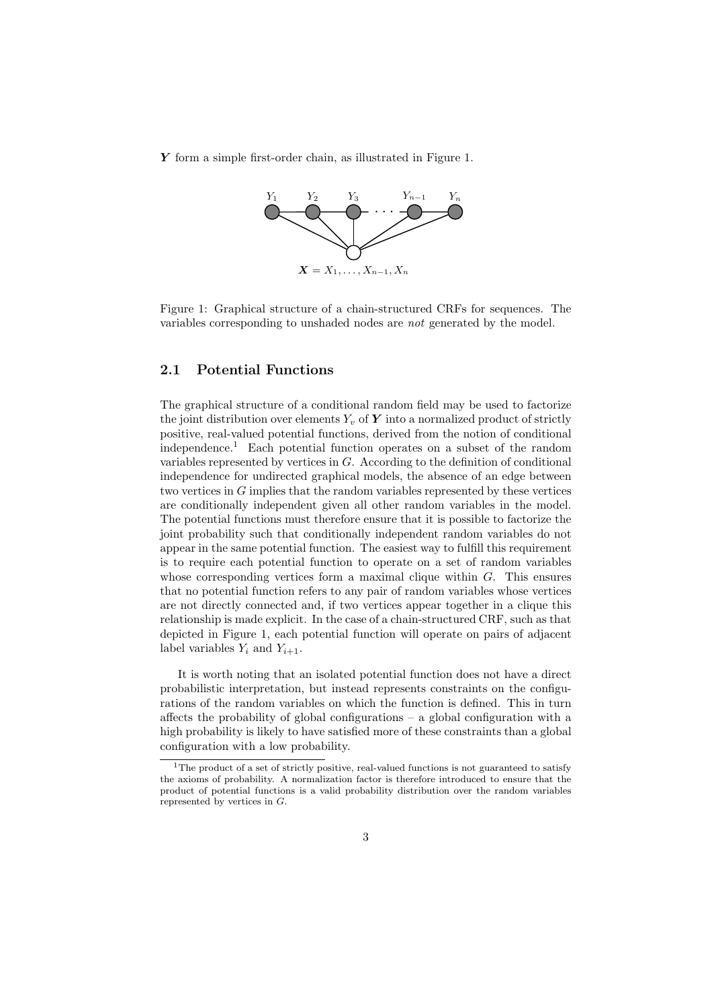Y form a simple first-order chain, as illustrated in Figure 1.



Figure 1: Graphical structure of a chain-structured CRFs for sequences. The variables corresponding to unshaded nodes are not generated by the model.

#### 2.1 Potential Functions

The graphical structure of a conditional random field may be used to factorize the joint distribution over elements  $Y_v$  of  $Y$  into a normalized product of strictly positive, real-valued potential functions, derived from the notion of conditional independence.<sup>1</sup> Each potential function operates on a subset of the random variables represented by vertices in G. According to the definition of conditional independence for undirected graphical models, the absence of an edge between two vertices in G implies that the random variables represented by these vertices are conditionally independent given all other random variables in the model. The potential functions must therefore ensure that it is possible to factorize the joint probability such that conditionally independent random variables do not appear in the same potential function. The easiest way to fulfill this requirement is to require each potential function to operate on a set of random variables whose corresponding vertices form a maximal clique within G. This ensures that no potential function refers to any pair of random variables whose vertices are not directly connected and, if two vertices appear together in a clique this relationship is made explicit. In the case of a chain-structured CRF, such as that depicted in Figure 1, each potential function will operate on pairs of adjacent label variables  $Y_i$  and  $Y_{i+1}$ .

It is worth noting that an isolated potential function does not have a direct probabilistic interpretation, but instead represents constraints on the configurations of the random variables on which the function is defined. This in turn affects the probability of global configurations – a global configuration with a high probability is likely to have satisfied more of these constraints than a global configuration with a low probability.

<sup>&</sup>lt;sup>1</sup>The product of a set of strictly positive, real-valued functions is not guaranteed to satisfy the axioms of probability. A normalization factor is therefore introduced to ensure that the product of potential functions is a valid probability distribution over the random variables represented by vertices in G.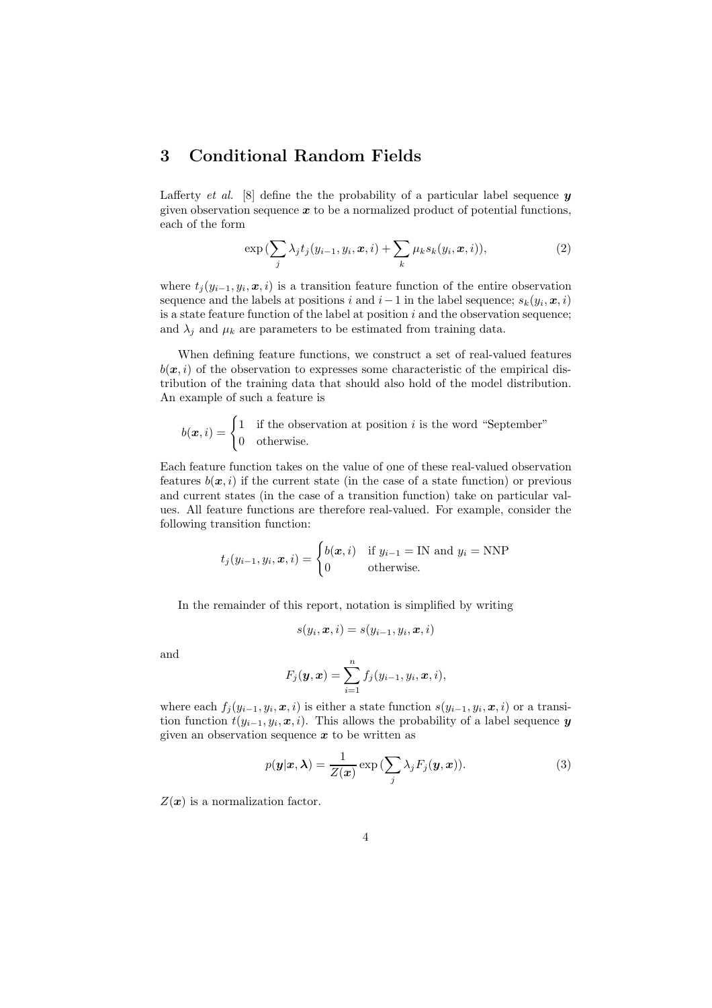#### 3 Conditional Random Fields

Lafferty *et al.* [8] define the the probability of a particular label sequence  $y$ given observation sequence  $x$  to be a normalized product of potential functions, each of the form

$$
\exp\left(\sum_{j}\lambda_j t_j(y_{i-1},y_i,\boldsymbol{x},i)+\sum_{k}\mu_k s_k(y_i,\boldsymbol{x},i)\right),\tag{2}
$$

where  $t_j(y_{i-1}, y_i, x, i)$  is a transition feature function of the entire observation sequence and the labels at positions i and  $i-1$  in the label sequence;  $s_k(y_i, x, i)$ is a state feature function of the label at position  $i$  and the observation sequence; and  $\lambda_j$  and  $\mu_k$  are parameters to be estimated from training data.

When defining feature functions, we construct a set of real-valued features  $b(x, i)$  of the observation to expresses some characteristic of the empirical distribution of the training data that should also hold of the model distribution. An example of such a feature is

$$
b(\boldsymbol{x}, i) = \begin{cases} 1 & \text{if the observation at position } i \text{ is the word "September"} \\ 0 & \text{otherwise.} \end{cases}
$$

Each feature function takes on the value of one of these real-valued observation features  $b(x, i)$  if the current state (in the case of a state function) or previous and current states (in the case of a transition function) take on particular values. All feature functions are therefore real-valued. For example, consider the following transition function:

$$
t_j(y_{i-1}, y_i, \boldsymbol{x}, i) = \begin{cases} b(\boldsymbol{x}, i) & \text{if } y_{i-1} = \text{IN and } y_i = \text{NNP} \\ 0 & \text{otherwise.} \end{cases}
$$

In the remainder of this report, notation is simplified by writing

$$
s(y_i, \boldsymbol{x}, i) = s(y_{i-1}, y_i, \boldsymbol{x}, i)
$$

and

$$
F_j(\boldsymbol{y}, \boldsymbol{x}) = \sum_{i=1}^n f_j(y_{i-1}, y_i, \boldsymbol{x}, i),
$$

where each  $f_j(y_{i-1}, y_i, x, i)$  is either a state function  $s(y_{i-1}, y_i, x, i)$  or a transition function  $t(y_{i-1}, y_i, x, i)$ . This allows the probability of a label sequence  $y$ given an observation sequence  $x$  to be written as

$$
p(\mathbf{y}|\mathbf{x}, \boldsymbol{\lambda}) = \frac{1}{Z(\mathbf{x})} \exp\left(\sum_{j} \lambda_j F_j(\mathbf{y}, \mathbf{x})\right).
$$
 (3)

 $Z(x)$  is a normalization factor.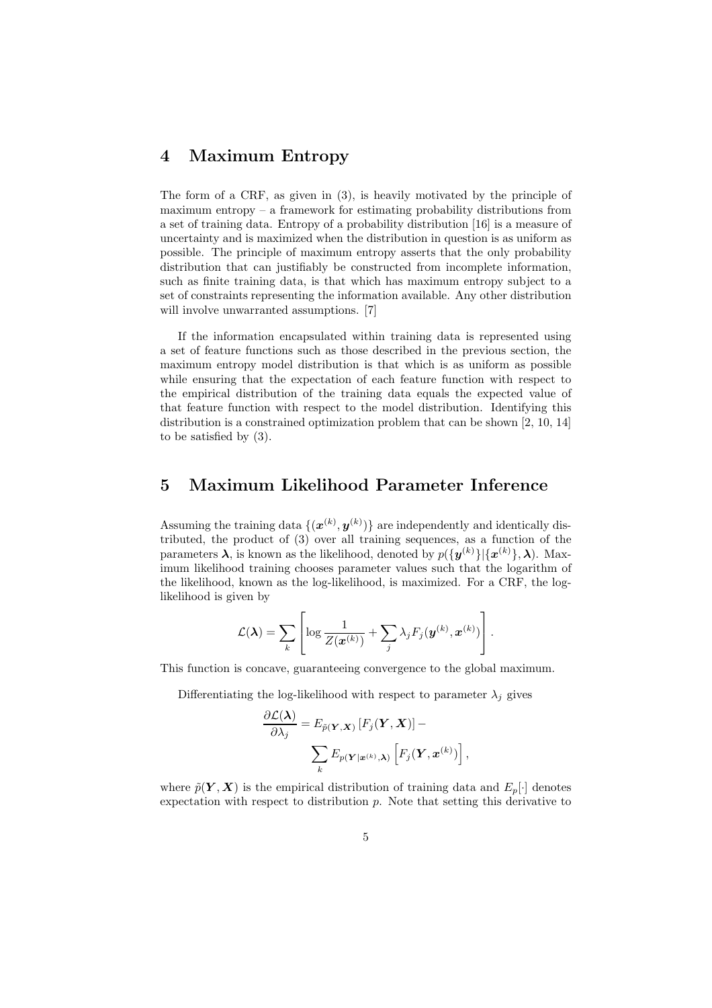#### 4 Maximum Entropy

The form of a CRF, as given in (3), is heavily motivated by the principle of maximum entropy – a framework for estimating probability distributions from a set of training data. Entropy of a probability distribution [16] is a measure of uncertainty and is maximized when the distribution in question is as uniform as possible. The principle of maximum entropy asserts that the only probability distribution that can justifiably be constructed from incomplete information, such as finite training data, is that which has maximum entropy subject to a set of constraints representing the information available. Any other distribution will involve unwarranted assumptions. [7]

If the information encapsulated within training data is represented using a set of feature functions such as those described in the previous section, the maximum entropy model distribution is that which is as uniform as possible while ensuring that the expectation of each feature function with respect to the empirical distribution of the training data equals the expected value of that feature function with respect to the model distribution. Identifying this distribution is a constrained optimization problem that can be shown [2, 10, 14] to be satisfied by (3).

#### 5 Maximum Likelihood Parameter Inference

Assuming the training data  $\{(\boldsymbol{x}^{(k)}, \boldsymbol{y}^{(k)})\}$  are independently and identically distributed, the product of (3) over all training sequences, as a function of the parameters  $\lambda$ , is known as the likelihood, denoted by  $p(\{y^{(k)}\}|\{x^{(k)}\},\lambda)$ . Maximum likelihood training chooses parameter values such that the logarithm of the likelihood, known as the log-likelihood, is maximized. For a CRF, the loglikelihood is given by

$$
\mathcal{L}(\boldsymbol{\lambda}) = \sum_{k} \left[ \log \frac{1}{Z(\boldsymbol{x}^{(k)})} + \sum_{j} \lambda_{j} F_{j}(\boldsymbol{y}^{(k)}, \boldsymbol{x}^{(k)}) \right].
$$

This function is concave, guaranteeing convergence to the global maximum.

Differentiating the log-likelihood with respect to parameter  $\lambda_i$  gives

$$
\frac{\partial \mathcal{L}(\boldsymbol{\lambda})}{\partial \lambda_j} = E_{\tilde{p}(\boldsymbol{Y}, \boldsymbol{X})} \left[ F_j(\boldsymbol{Y}, \boldsymbol{X}) \right] - \\ \sum_{k} E_{p(\boldsymbol{Y}|\boldsymbol{x}^{(k)}, \boldsymbol{\lambda})} \left[ F_j(\boldsymbol{Y}, \boldsymbol{x}^{(k)}) \right],
$$

where  $\tilde{p}(\boldsymbol{Y}, \boldsymbol{X})$  is the empirical distribution of training data and  $E_p[\cdot]$  denotes expectation with respect to distribution p. Note that setting this derivative to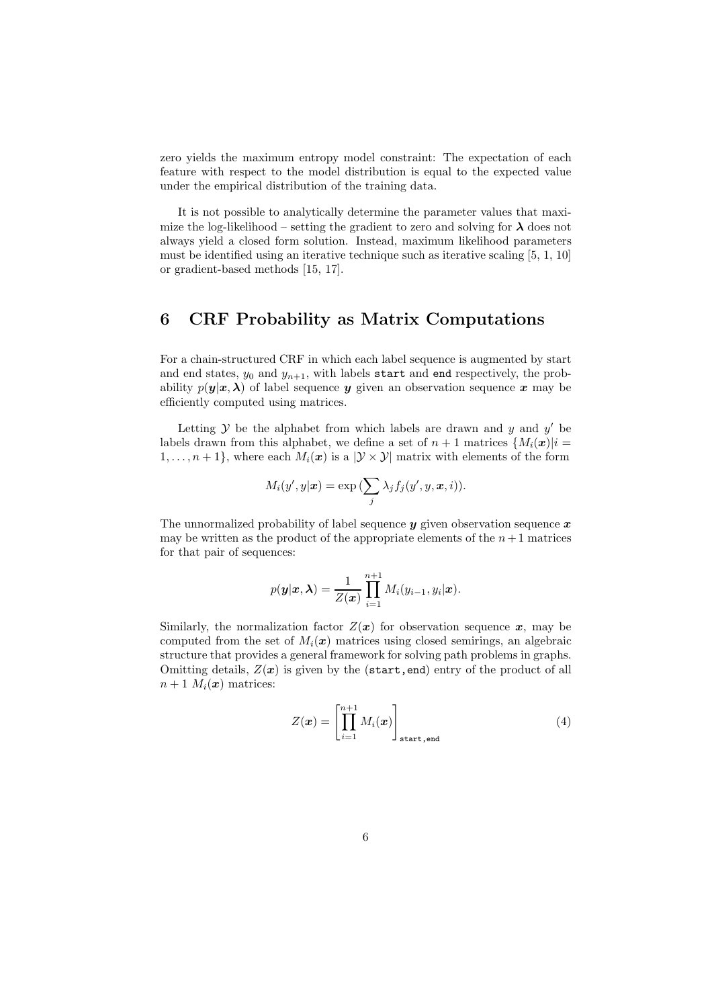zero yields the maximum entropy model constraint: The expectation of each feature with respect to the model distribution is equal to the expected value under the empirical distribution of the training data.

It is not possible to analytically determine the parameter values that maximize the log-likelihood – setting the gradient to zero and solving for  $\lambda$  does not always yield a closed form solution. Instead, maximum likelihood parameters must be identified using an iterative technique such as iterative scaling [5, 1, 10] or gradient-based methods [15, 17].

#### 6 CRF Probability as Matrix Computations

For a chain-structured CRF in which each label sequence is augmented by start and end states,  $y_0$  and  $y_{n+1}$ , with labels start and end respectively, the probability  $p(\mathbf{y}|\mathbf{x},\lambda)$  of label sequence  $\mathbf{y}$  given an observation sequence  $\mathbf{x}$  may be efficiently computed using matrices.

Letting  $Y$  be the alphabet from which labels are drawn and  $y$  and  $y'$  be labels drawn from this alphabet, we define a set of  $n + 1$  matrices  $\{M_i(\boldsymbol{x})\}_{i=1}^N$  $1, \ldots, n+1\}$ , where each  $M_i(\boldsymbol{x})$  is a  $|\mathcal{Y} \times \mathcal{Y}|$  matrix with elements of the form

$$
M_i(y',y|\boldsymbol{x}) = \exp\left(\sum_j \lambda_j f_j(y',y,\boldsymbol{x},i)\right).
$$

The unnormalized probability of label sequence  $\boldsymbol{y}$  given observation sequence  $\boldsymbol{x}$ may be written as the product of the appropriate elements of the  $n+1$  matrices for that pair of sequences:

$$
p(\boldsymbol{y}|\boldsymbol{x},\boldsymbol{\lambda})=\frac{1}{Z(\boldsymbol{x})}\prod_{i=1}^{n+1}M_i(y_{i-1},y_i|\boldsymbol{x}).
$$

Similarly, the normalization factor  $Z(x)$  for observation sequence x, may be computed from the set of  $M_i(x)$  matrices using closed semirings, an algebraic structure that provides a general framework for solving path problems in graphs. Omitting details,  $Z(x)$  is given by the (start, end) entry of the product of all  $n+1$   $M_i(x)$  matrices:

$$
Z(\boldsymbol{x}) = \left[\prod_{i=1}^{n+1} M_i(\boldsymbol{x})\right]_{\text{start},\text{end}}
$$
(4)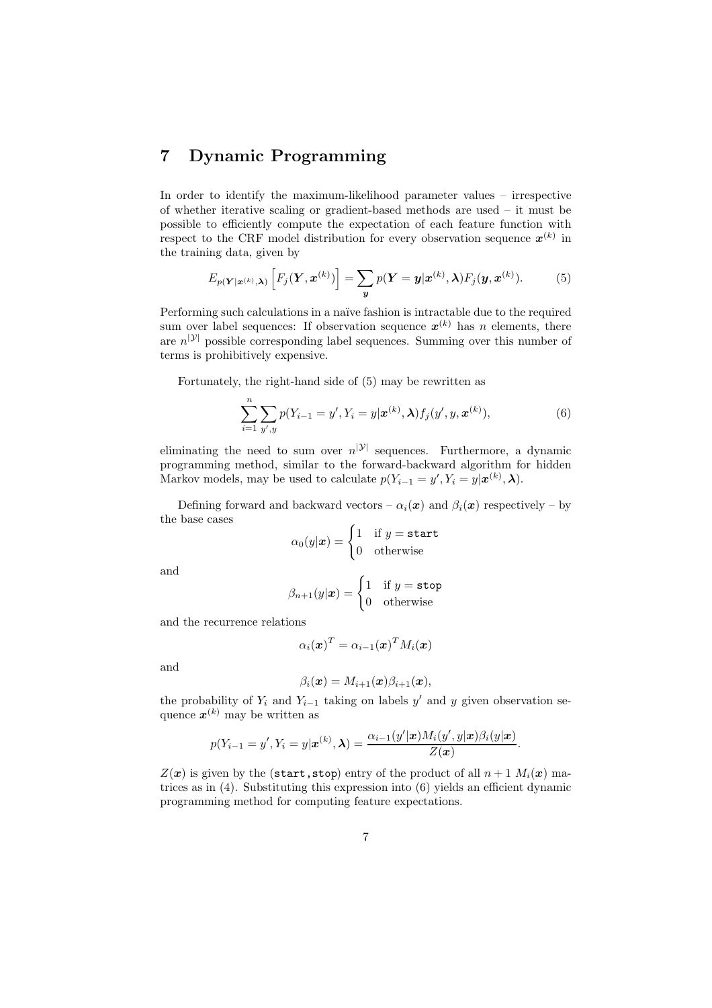### 7 Dynamic Programming

In order to identify the maximum-likelihood parameter values – irrespective of whether iterative scaling or gradient-based methods are used – it must be possible to efficiently compute the expectation of each feature function with respect to the CRF model distribution for every observation sequence  $x^{(k)}$  in the training data, given by

$$
E_{p(\boldsymbol{Y}|\boldsymbol{x}^{(k)},\boldsymbol{\lambda})}\left[F_j(\boldsymbol{Y},\boldsymbol{x}^{(k)})\right] = \sum_{\boldsymbol{y}} p(\boldsymbol{Y}=\boldsymbol{y}|\boldsymbol{x}^{(k)},\boldsymbol{\lambda})F_j(\boldsymbol{y},\boldsymbol{x}^{(k)}).
$$
(5)

Performing such calculations in a naïve fashion is intractable due to the required sum over label sequences: If observation sequence  $x^{(k)}$  has n elements, there are  $n^{|\mathcal{Y}|}$  possible corresponding label sequences. Summing over this number of terms is prohibitively expensive.

Fortunately, the right-hand side of (5) may be rewritten as

$$
\sum_{i=1}^{n} \sum_{y',y} p(Y_{i-1} = y', Y_i = y | \boldsymbol{x}^{(k)}, \boldsymbol{\lambda}) f_j(y', y, \boldsymbol{x}^{(k)}),
$$
\n(6)

eliminating the need to sum over  $n^{|\mathcal{Y}|}$  sequences. Furthermore, a dynamic programming method, similar to the forward-backward algorithm for hidden Markov models, may be used to calculate  $p(Y_{i-1} = y', Y_i = y | \boldsymbol{x}^{(k)}, \boldsymbol{\lambda}).$ 

Defining forward and backward vectors –  $\alpha_i(x)$  and  $\beta_i(x)$  respectively – by the base cases

$$
\alpha_0(y|\boldsymbol{x}) = \begin{cases} 1 & \text{if } y = \texttt{start} \\ 0 & \text{otherwise} \end{cases}
$$

and

$$
\beta_{n+1}(y|\boldsymbol{x}) = \begin{cases} 1 & \text{if } y = \texttt{stop} \\ 0 & \text{otherwise} \end{cases}
$$

and the recurrence relations

$$
\alpha_i(\boldsymbol{x})^T = \alpha_{i-1}(\boldsymbol{x})^T M_i(\boldsymbol{x})
$$

and

$$
\beta_i(\boldsymbol{x}) = M_{i+1}(\boldsymbol{x})\beta_{i+1}(\boldsymbol{x}),
$$

the probability of  $Y_i$  and  $Y_{i-1}$  taking on labels y' and y given observation sequence  $x^{(k)}$  may be written as

$$
p(Y_{i-1}=y', Y_i=y|\boldsymbol{x}^{(k)}, \boldsymbol{\lambda})=\frac{\alpha_{i-1}(y'|\boldsymbol{x})M_i(y',y|\boldsymbol{x})\beta_i(y|\boldsymbol{x})}{Z(\boldsymbol{x})}.
$$

 $Z(\mathbf{x})$  is given by the (start, stop) entry of the product of all  $n+1$   $M_i(\mathbf{x})$  matrices as in (4). Substituting this expression into (6) yields an efficient dynamic programming method for computing feature expectations.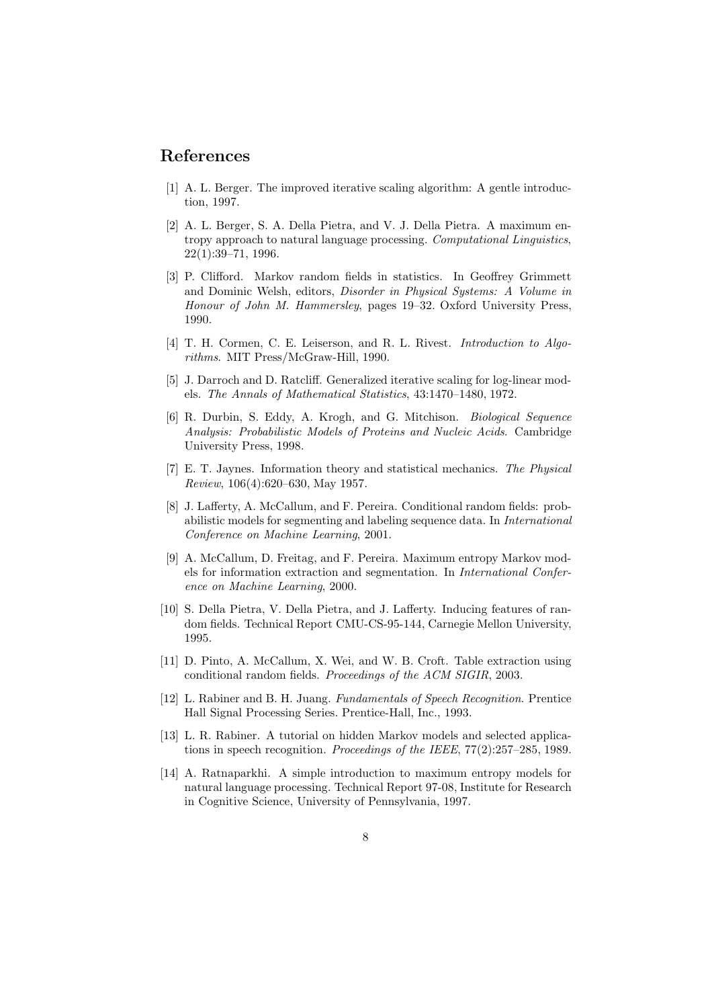### References

- [1] A. L. Berger. The improved iterative scaling algorithm: A gentle introduction, 1997.
- [2] A. L. Berger, S. A. Della Pietra, and V. J. Della Pietra. A maximum entropy approach to natural language processing. Computational Linguistics, 22(1):39–71, 1996.
- [3] P. Clifford. Markov random fields in statistics. In Geoffrey Grimmett and Dominic Welsh, editors, Disorder in Physical Systems: A Volume in Honour of John M. Hammersley, pages 19–32. Oxford University Press, 1990.
- [4] T. H. Cormen, C. E. Leiserson, and R. L. Rivest. *Introduction to Algo*rithms. MIT Press/McGraw-Hill, 1990.
- [5] J. Darroch and D. Ratcliff. Generalized iterative scaling for log-linear models. The Annals of Mathematical Statistics, 43:1470–1480, 1972.
- [6] R. Durbin, S. Eddy, A. Krogh, and G. Mitchison. Biological Sequence Analysis: Probabilistic Models of Proteins and Nucleic Acids. Cambridge University Press, 1998.
- [7] E. T. Jaynes. Information theory and statistical mechanics. The Physical Review, 106(4):620–630, May 1957.
- [8] J. Lafferty, A. McCallum, and F. Pereira. Conditional random fields: probabilistic models for segmenting and labeling sequence data. In *International* Conference on Machine Learning, 2001.
- [9] A. McCallum, D. Freitag, and F. Pereira. Maximum entropy Markov models for information extraction and segmentation. In International Conference on Machine Learning, 2000.
- [10] S. Della Pietra, V. Della Pietra, and J. Lafferty. Inducing features of random fields. Technical Report CMU-CS-95-144, Carnegie Mellon University, 1995.
- [11] D. Pinto, A. McCallum, X. Wei, and W. B. Croft. Table extraction using conditional random fields. Proceedings of the ACM SIGIR, 2003.
- [12] L. Rabiner and B. H. Juang. Fundamentals of Speech Recognition. Prentice Hall Signal Processing Series. Prentice-Hall, Inc., 1993.
- [13] L. R. Rabiner. A tutorial on hidden Markov models and selected applications in speech recognition. Proceedings of the IEEE, 77(2):257–285, 1989.
- [14] A. Ratnaparkhi. A simple introduction to maximum entropy models for natural language processing. Technical Report 97-08, Institute for Research in Cognitive Science, University of Pennsylvania, 1997.